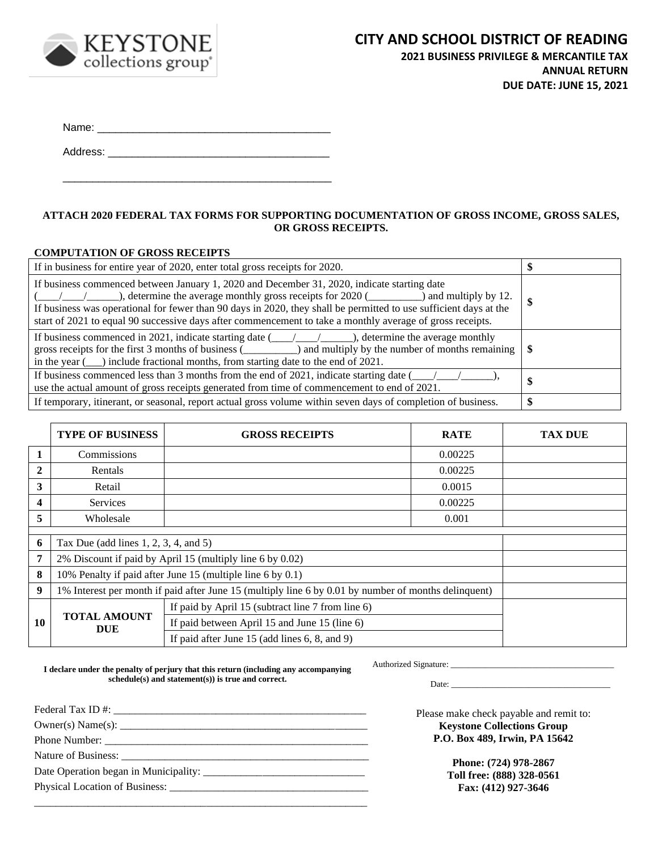

**2021 BUSINESS PRIVILEGE & MERCANTILE TAX ANNUAL RETURN DUE DATE: JUNE 15, 2021**

Name: \_\_\_\_\_\_\_\_\_\_\_\_\_\_\_\_\_\_\_\_\_\_\_\_\_\_\_\_\_\_\_\_\_\_\_\_\_\_\_

Address: \_\_\_\_\_\_\_\_\_\_\_\_\_\_\_\_\_\_\_\_\_\_\_\_\_\_\_\_\_\_\_\_\_\_\_\_\_

\_\_\_\_\_\_\_\_\_\_\_\_\_\_\_\_\_\_\_\_\_\_\_\_\_\_\_\_\_\_\_\_\_\_\_\_\_\_\_\_\_\_\_\_\_

## **ATTACH 2020 FEDERAL TAX FORMS FOR SUPPORTING DOCUMENTATION OF GROSS INCOME, GROSS SALES, OR GROSS RECEIPTS.**

### **COMPUTATION OF GROSS RECEIPTS**

| If in business for entire year of 2020, enter total gross receipts for 2020.                                                                                                                                                                                                                                                                                                                                                            |   |
|-----------------------------------------------------------------------------------------------------------------------------------------------------------------------------------------------------------------------------------------------------------------------------------------------------------------------------------------------------------------------------------------------------------------------------------------|---|
| If business commenced between January 1, 2020 and December 31, 2020, indicate starting date<br>$\frac{1}{2}$ , determine the average monthly gross receipts for 2020 ( $\qquad$ ) and multiply by 12.<br>If business was operational for fewer than 90 days in 2020, they shall be permitted to use sufficient days at the<br>start of 2021 to equal 90 successive days after commencement to take a monthly average of gross receipts. | D |
| If business commenced in 2021, indicate starting date $(\underline{\hspace{1cm}}\underline{\hspace{1cm}}\underline{\hspace{1cm}}\underline{\hspace{1cm}})$ , determine the average monthly<br>gross receipts for the first 3 months of business $($ () and multiply by the number of months remaining<br>in the year $(\_\_)$ include fractional months, from starting date to the end of 2021.                                         |   |
| If business commenced less than 3 months from the end of 2021, indicate starting date (<br>use the actual amount of gross receipts generated from time of commencement to end of 2021.                                                                                                                                                                                                                                                  |   |
| If temporary, itinerant, or seasonal, report actual gross volume within seven days of completion of business.                                                                                                                                                                                                                                                                                                                           |   |

|    | <b>TYPE OF BUSINESS</b>                                                                              | <b>GROSS RECEIPTS</b>                              | <b>RATE</b> | <b>TAX DUE</b> |
|----|------------------------------------------------------------------------------------------------------|----------------------------------------------------|-------------|----------------|
| 1  | Commissions                                                                                          |                                                    | 0.00225     |                |
| 2  | Rentals                                                                                              |                                                    | 0.00225     |                |
| 3  | Retail                                                                                               |                                                    | 0.0015      |                |
| 4  | Services                                                                                             |                                                    | 0.00225     |                |
| 5  | Wholesale                                                                                            |                                                    | 0.001       |                |
| 6  | Tax Due (add lines 1, 2, 3, 4, and 5)                                                                |                                                    |             |                |
| 7  | 2% Discount if paid by April 15 (multiply line 6 by 0.02)                                            |                                                    |             |                |
| 8  | 10% Penalty if paid after June 15 (multiple line 6 by 0.1)                                           |                                                    |             |                |
| 9  | 1% Interest per month if paid after June 15 (multiply line 6 by 0.01 by number of months delinquent) |                                                    |             |                |
|    |                                                                                                      | If paid by April 15 (subtract line 7 from line 6)  |             |                |
| 10 | <b>TOTAL AMOUNT</b><br>If paid between April 15 and June 15 (line 6)<br><b>DUE</b>                   |                                                    |             |                |
|    |                                                                                                      | If paid after June 15 (add lines $6, 8,$ and $9$ ) |             |                |

**I declare under the penalty of perjury that this return (including any accompanying schedule(s) and statement(s)) is true and correct.**

Authorized Signature: \_\_\_\_\_\_\_\_\_\_\_\_\_\_\_\_\_\_\_\_\_\_\_\_\_\_\_\_\_\_\_\_\_\_\_\_\_\_

Date: \_\_\_\_\_\_\_\_\_\_\_\_\_\_\_\_\_\_\_\_\_\_\_\_\_\_\_\_\_\_\_\_\_\_\_\_\_

| Owner(s) Name(s): |  |  |  |
|-------------------|--|--|--|
|                   |  |  |  |
|                   |  |  |  |
|                   |  |  |  |
|                   |  |  |  |
|                   |  |  |  |

Please make check payable and remit to: **Keystone Collections Group P.O. Box 489, Irwin, PA 15642**

> **Phone: (724) 978-2867 Toll free: (888) 328-0561 Fax: (412) 927-3646**